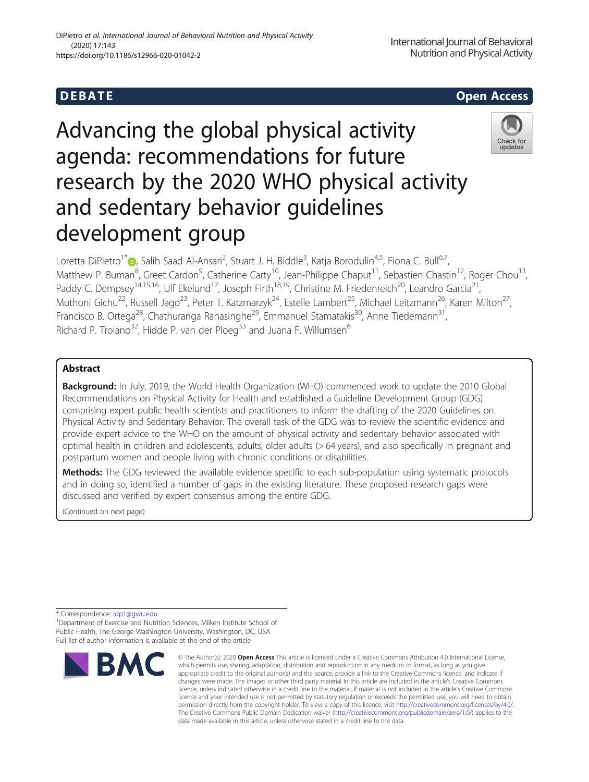# **DEBATE CONSERVATION**

# Advancing the global physical activity agenda: recommendations for future research by the 2020 WHO physical activity and sedentary behavior guidelines development group

Loretta DiPietro<sup>1\*</sup>®[,](http://orcid.org/0000-0002-3064-3977) Salih Saad Al-Ansari<sup>2</sup>, Stuart J. H. Biddle<sup>3</sup>, Katja Borodulin<sup>4,5</sup>, Fiona C. Bull<sup>6,7</sup>, Matthew P. Buman<sup>8</sup>, Greet Cardon<sup>9</sup>, Catherine Carty<sup>10</sup>, Jean-Philippe Chaput<sup>11</sup>, Sebastien Chastin<sup>12</sup>, Roger Chou<sup>13</sup>, Paddy C. Dempsey<sup>14,15,16</sup>, Ulf Ekelund<sup>17</sup>, Joseph Firth<sup>18,19</sup>, Christine M. Friedenreich<sup>20</sup>, Leandro Garcia<sup>21</sup>, Muthoni Gichu<sup>22</sup>, Russell Jago<sup>23</sup>, Peter T. Katzmarzyk<sup>24</sup>, Estelle Lambert<sup>25</sup>, Michael Leitzmann<sup>26</sup>, Karen Milton<sup>27</sup>, Francisco B. Ortega<sup>28</sup>, Chathuranga Ranasinghe<sup>29</sup>, Emmanuel Stamatakis<sup>30</sup>, Anne Tiedemann<sup>31</sup>, Richard P. Troiano<sup>32</sup>, Hidde P. van der Ploeg<sup>33</sup> and Juana F. Willumsen<sup>6</sup>

# Abstract

Background: In July, 2019, the World Health Organization (WHO) commenced work to update the 2010 Global Recommendations on Physical Activity for Health and established a Guideline Development Group (GDG) comprising expert public health scientists and practitioners to inform the drafting of the 2020 Guidelines on Physical Activity and Sedentary Behavior. The overall task of the GDG was to review the scientific evidence and provide expert advice to the WHO on the amount of physical activity and sedentary behavior associated with optimal health in children and adolescents, adults, older adults (> 64 years), and also specifically in pregnant and postpartum women and people living with chronic conditions or disabilities.

**Methods:** The GDG reviewed the available evidence specific to each sub-population using systematic protocols and in doing so, identified a number of gaps in the existing literature. These proposed research gaps were discussed and verified by expert consensus among the entire GDG.

(Continued on next page)

<sup>1</sup>Department of Exercise and Nutrition Sciences, Milken Institute School of Public Health, The George Washington University, Washington, DC, USA Full list of author information is available at the end of the article

# \* Correspondence: [ldp1@gwu.edu](mailto:ldp1@gwu.edu) <sup>1</sup>



<sup>©</sup> The Author(s), 2020 **Open Access** This article is licensed under a Creative Commons Attribution 4.0 International License, which permits use, sharing, adaptation, distribution and reproduction in any medium or format, as long as you give appropriate credit to the original author(s) and the source, provide a link to the Creative Commons licence, and indicate if changes were made. The images or other third party material in this article are included in the article's Creative Commons licence, unless indicated otherwise in a credit line to the material. If material is not included in the article's Creative Commons licence and your intended use is not permitted by statutory regulation or exceeds the permitted use, you will need to obtain permission directly from the copyright holder. To view a copy of this licence, visit [http://creativecommons.org/licenses/by/4.0/.](http://creativecommons.org/licenses/by/4.0/) The Creative Commons Public Domain Dedication waiver [\(http://creativecommons.org/publicdomain/zero/1.0/](http://creativecommons.org/publicdomain/zero/1.0/)) applies to the data made available in this article, unless otherwise stated in a credit line to the data.





Check for undate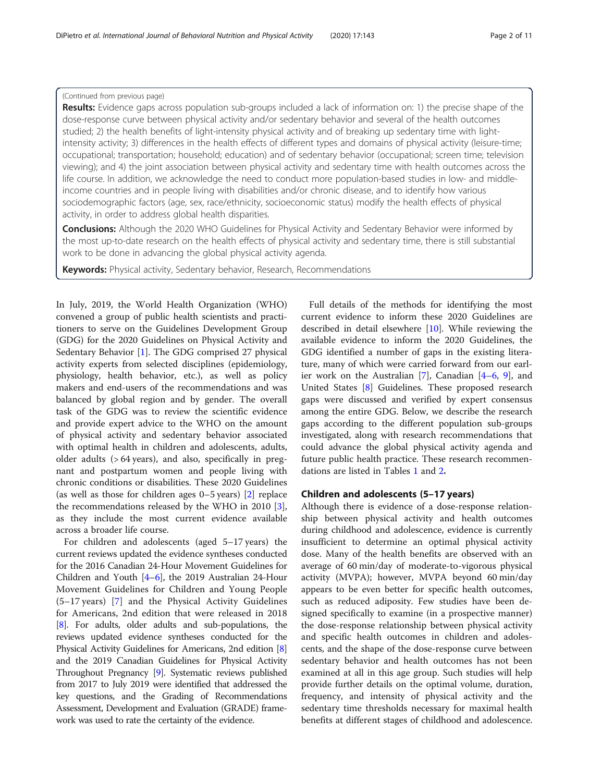Results: Evidence gaps across population sub-groups included a lack of information on: 1) the precise shape of the dose-response curve between physical activity and/or sedentary behavior and several of the health outcomes studied; 2) the health benefits of light-intensity physical activity and of breaking up sedentary time with lightintensity activity; 3) differences in the health effects of different types and domains of physical activity (leisure-time; occupational; transportation; household; education) and of sedentary behavior (occupational; screen time; television viewing); and 4) the joint association between physical activity and sedentary time with health outcomes across the life course. In addition, we acknowledge the need to conduct more population-based studies in low- and middleincome countries and in people living with disabilities and/or chronic disease, and to identify how various sociodemographic factors (age, sex, race/ethnicity, socioeconomic status) modify the health effects of physical activity, in order to address global health disparities.

**Conclusions:** Although the 2020 WHO Guidelines for Physical Activity and Sedentary Behavior were informed by the most up-to-date research on the health effects of physical activity and sedentary time, there is still substantial work to be done in advancing the global physical activity agenda.

Keywords: Physical activity, Sedentary behavior, Research, Recommendations

In July, 2019, the World Health Organization (WHO) convened a group of public health scientists and practitioners to serve on the Guidelines Development Group (GDG) for the 2020 Guidelines on Physical Activity and Sedentary Behavior [[1\]](#page-9-0). The GDG comprised 27 physical activity experts from selected disciplines (epidemiology, physiology, health behavior, etc.), as well as policy makers and end-users of the recommendations and was balanced by global region and by gender. The overall task of the GDG was to review the scientific evidence and provide expert advice to the WHO on the amount of physical activity and sedentary behavior associated with optimal health in children and adolescents, adults, older adults (> 64 years), and also, specifically in pregnant and postpartum women and people living with chronic conditions or disabilities. These 2020 Guidelines (as well as those for children ages 0–5 years) [[2\]](#page-9-0) replace the recommendations released by the WHO in 2010 [\[3](#page-9-0)], as they include the most current evidence available across a broader life course.

For children and adolescents (aged 5–17 years) the current reviews updated the evidence syntheses conducted for the 2016 Canadian 24-Hour Movement Guidelines for Children and Youth [\[4](#page-9-0)–[6\]](#page-10-0), the 2019 Australian 24-Hour Movement Guidelines for Children and Young People (5–17 years) [[7](#page-10-0)] and the Physical Activity Guidelines for Americans, 2nd edition that were released in 2018 [[8](#page-10-0)]. For adults, older adults and sub-populations, the reviews updated evidence syntheses conducted for the Physical Activity Guidelines for Americans, 2nd edition [[8](#page-10-0)] and the 2019 Canadian Guidelines for Physical Activity Throughout Pregnancy [[9\]](#page-10-0). Systematic reviews published from 2017 to July 2019 were identified that addressed the key questions, and the Grading of Recommendations Assessment, Development and Evaluation (GRADE) framework was used to rate the certainty of the evidence.

Full details of the methods for identifying the most current evidence to inform these 2020 Guidelines are described in detail elsewhere [[10\]](#page-10-0). While reviewing the available evidence to inform the 2020 Guidelines, the GDG identified a number of gaps in the existing literature, many of which were carried forward from our earlier work on the Australian  $[7]$  $[7]$ , Canadian  $[4-6, 9]$  $[4-6, 9]$  $[4-6, 9]$  $[4-6, 9]$  $[4-6, 9]$  $[4-6, 9]$ , and United States [\[8](#page-10-0)] Guidelines. These proposed research gaps were discussed and verified by expert consensus among the entire GDG. Below, we describe the research gaps according to the different population sub-groups investigated, along with research recommendations that could advance the global physical activity agenda and future public health practice. These research recommendations are listed in Tables [1](#page-2-0) and [2](#page-4-0).

# Children and adolescents (5–17 years)

Although there is evidence of a dose-response relationship between physical activity and health outcomes during childhood and adolescence, evidence is currently insufficient to determine an optimal physical activity dose. Many of the health benefits are observed with an average of 60 min/day of moderate-to-vigorous physical activity (MVPA); however, MVPA beyond 60 min/day appears to be even better for specific health outcomes, such as reduced adiposity. Few studies have been designed specifically to examine (in a prospective manner) the dose-response relationship between physical activity and specific health outcomes in children and adolescents, and the shape of the dose-response curve between sedentary behavior and health outcomes has not been examined at all in this age group. Such studies will help provide further details on the optimal volume, duration, frequency, and intensity of physical activity and the sedentary time thresholds necessary for maximal health benefits at different stages of childhood and adolescence.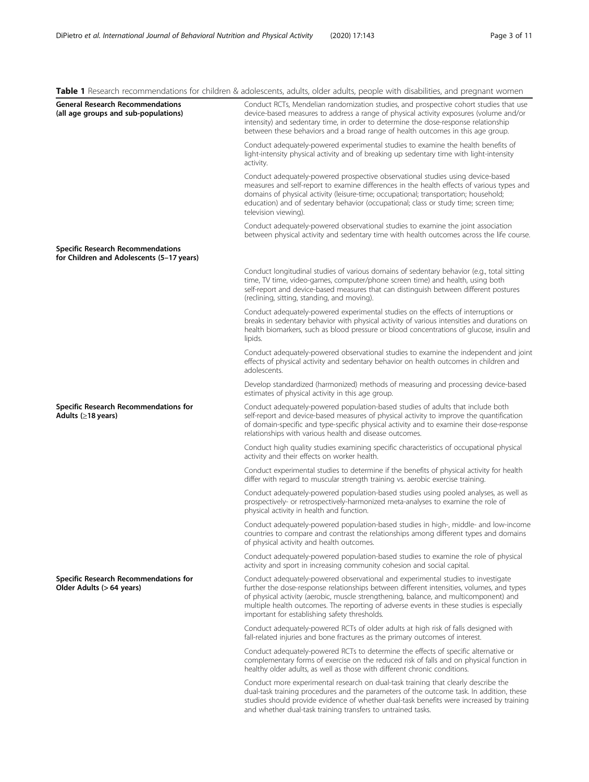<span id="page-2-0"></span>

|                                                                                       | Table 1 Research recommendations for children & adolescents, adults, older adults, people with disabilities, and pregnant women                                                                                                                                                                                                                                                                                     |
|---------------------------------------------------------------------------------------|---------------------------------------------------------------------------------------------------------------------------------------------------------------------------------------------------------------------------------------------------------------------------------------------------------------------------------------------------------------------------------------------------------------------|
| <b>General Research Recommendations</b><br>(all age groups and sub-populations)       | Conduct RCTs, Mendelian randomization studies, and prospective cohort studies that use<br>device-based measures to address a range of physical activity exposures (volume and/or<br>intensity) and sedentary time, in order to determine the dose-response relationship<br>between these behaviors and a broad range of health outcomes in this age group.                                                          |
|                                                                                       | Conduct adequately-powered experimental studies to examine the health benefits of<br>light-intensity physical activity and of breaking up sedentary time with light-intensity<br>activity.                                                                                                                                                                                                                          |
|                                                                                       | Conduct adequately-powered prospective observational studies using device-based<br>measures and self-report to examine differences in the health effects of various types and<br>domains of physical activity (leisure-time; occupational; transportation; household;<br>education) and of sedentary behavior (occupational; class or study time; screen time;<br>television viewing).                              |
|                                                                                       | Conduct adequately-powered observational studies to examine the joint association<br>between physical activity and sedentary time with health outcomes across the life course.                                                                                                                                                                                                                                      |
| <b>Specific Research Recommendations</b><br>for Children and Adolescents (5-17 years) |                                                                                                                                                                                                                                                                                                                                                                                                                     |
|                                                                                       | Conduct longitudinal studies of various domains of sedentary behavior (e.g., total sitting<br>time, TV time, video-games, computer/phone screen time) and health, using both<br>self-report and device-based measures that can distinguish between different postures<br>(reclining, sitting, standing, and moving).                                                                                                |
|                                                                                       | Conduct adequately-powered experimental studies on the effects of interruptions or<br>breaks in sedentary behavior with physical activity of various intensities and durations on<br>health biomarkers, such as blood pressure or blood concentrations of glucose, insulin and<br>lipids.                                                                                                                           |
|                                                                                       | Conduct adequately-powered observational studies to examine the independent and joint<br>effects of physical activity and sedentary behavior on health outcomes in children and<br>adolescents.                                                                                                                                                                                                                     |
|                                                                                       | Develop standardized (harmonized) methods of measuring and processing device-based<br>estimates of physical activity in this age group.                                                                                                                                                                                                                                                                             |
| Specific Research Recommendations for<br>Adults (≥18 years)                           | Conduct adequately-powered population-based studies of adults that include both<br>self-report and device-based measures of physical activity to improve the quantification<br>of domain-specific and type-specific physical activity and to examine their dose-response<br>relationships with various health and disease outcomes.                                                                                 |
|                                                                                       | Conduct high quality studies examining specific characteristics of occupational physical<br>activity and their effects on worker health.                                                                                                                                                                                                                                                                            |
|                                                                                       | Conduct experimental studies to determine if the benefits of physical activity for health<br>differ with regard to muscular strength training vs. aerobic exercise training.                                                                                                                                                                                                                                        |
|                                                                                       | Conduct adequately-powered population-based studies using pooled analyses, as well as<br>prospectively- or retrospectively-harmonized meta-analyses to examine the role of<br>physical activity in health and function.                                                                                                                                                                                             |
|                                                                                       | Conduct adequately-powered population-based studies in high-, middle- and low-income<br>countries to compare and contrast the relationships among different types and domains<br>of physical activity and health outcomes.                                                                                                                                                                                          |
|                                                                                       | Conduct adequately-powered population-based studies to examine the role of physical<br>activity and sport in increasing community cohesion and social capital.                                                                                                                                                                                                                                                      |
| Specific Research Recommendations for<br>Older Adults (> 64 years)                    | Conduct adequately-powered observational and experimental studies to investigate<br>further the dose-response relationships between different intensities, volumes, and types<br>of physical activity (aerobic, muscle strengthening, balance, and multicomponent) and<br>multiple health outcomes. The reporting of adverse events in these studies is especially<br>important for establishing safety thresholds. |
|                                                                                       | Conduct adequately-powered RCTs of older adults at high risk of falls designed with<br>fall-related injuries and bone fractures as the primary outcomes of interest.                                                                                                                                                                                                                                                |
|                                                                                       | Conduct adequately-powered RCTs to determine the effects of specific alternative or<br>complementary forms of exercise on the reduced risk of falls and on physical function in<br>healthy older adults, as well as those with different chronic conditions.                                                                                                                                                        |
|                                                                                       | Conduct more experimental research on dual-task training that clearly describe the<br>dual-task training procedures and the parameters of the outcome task. In addition, these<br>studies should provide evidence of whether dual-task benefits were increased by training<br>and whether dual-task training transfers to untrained tasks.                                                                          |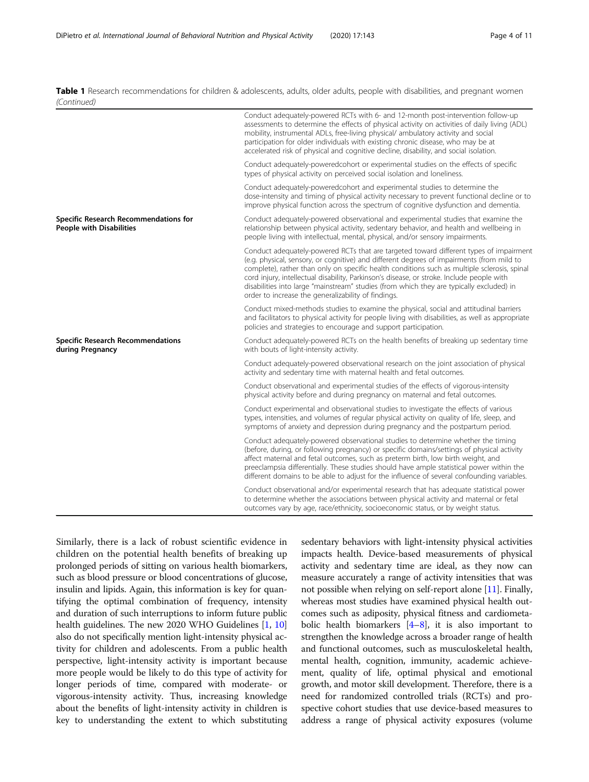Table 1 Research recommendations for children & adolescents, adults, older adults, people with disabilities, and pregnant women (Continued)

|                                                                          | Conduct adequately-powered RCTs with 6- and 12-month post-intervention follow-up<br>assessments to determine the effects of physical activity on activities of daily living (ADL)<br>mobility, instrumental ADLs, free-living physical/ ambulatory activity and social<br>participation for older individuals with existing chronic disease, who may be at<br>accelerated risk of physical and cognitive decline, disability, and social isolation.                                                                                 |
|--------------------------------------------------------------------------|-------------------------------------------------------------------------------------------------------------------------------------------------------------------------------------------------------------------------------------------------------------------------------------------------------------------------------------------------------------------------------------------------------------------------------------------------------------------------------------------------------------------------------------|
|                                                                          | Conduct adequately-poweredcohort or experimental studies on the effects of specific<br>types of physical activity on perceived social isolation and loneliness.                                                                                                                                                                                                                                                                                                                                                                     |
|                                                                          | Conduct adequately-poweredcohort and experimental studies to determine the<br>dose-intensity and timing of physical activity necessary to prevent functional decline or to<br>improve physical function across the spectrum of cognitive dysfunction and dementia.                                                                                                                                                                                                                                                                  |
| Specific Research Recommendations for<br><b>People with Disabilities</b> | Conduct adequately-powered observational and experimental studies that examine the<br>relationship between physical activity, sedentary behavior, and health and wellbeing in<br>people living with intellectual, mental, physical, and/or sensory impairments.                                                                                                                                                                                                                                                                     |
|                                                                          | Conduct adequately-powered RCTs that are targeted toward different types of impairment<br>(e.g. physical, sensory, or cognitive) and different degrees of impairments (from mild to<br>complete), rather than only on specific health conditions such as multiple sclerosis, spinal<br>cord injury, intellectual disability, Parkinson's disease, or stroke. Include people with<br>disabilities into large "mainstream" studies (from which they are typically excluded) in<br>order to increase the generalizability of findings. |
|                                                                          | Conduct mixed-methods studies to examine the physical, social and attitudinal barriers<br>and facilitators to physical activity for people living with disabilities, as well as appropriate<br>policies and strategies to encourage and support participation.                                                                                                                                                                                                                                                                      |
| <b>Specific Research Recommendations</b><br>during Pregnancy             | Conduct adequately-powered RCTs on the health benefits of breaking up sedentary time<br>with bouts of light-intensity activity.                                                                                                                                                                                                                                                                                                                                                                                                     |
|                                                                          | Conduct adequately-powered observational research on the joint association of physical<br>activity and sedentary time with maternal health and fetal outcomes.                                                                                                                                                                                                                                                                                                                                                                      |
|                                                                          | Conduct observational and experimental studies of the effects of vigorous-intensity<br>physical activity before and during pregnancy on maternal and fetal outcomes.                                                                                                                                                                                                                                                                                                                                                                |
|                                                                          | Conduct experimental and observational studies to investigate the effects of various<br>types, intensities, and volumes of regular physical activity on quality of life, sleep, and<br>symptoms of anxiety and depression during pregnancy and the postpartum period.                                                                                                                                                                                                                                                               |
|                                                                          | Conduct adequately-powered observational studies to determine whether the timing<br>(before, during, or following pregnancy) or specific domains/settings of physical activity<br>affect maternal and fetal outcomes, such as preterm birth, low birth weight, and<br>preeclampsia differentially. These studies should have ample statistical power within the<br>different domains to be able to adjust for the influence of several confounding variables.                                                                       |
|                                                                          | Conduct observational and/or experimental research that has adequate statistical power<br>to determine whether the associations between physical activity and maternal or fetal<br>outcomes vary by age, race/ethnicity, socioeconomic status, or by weight status.                                                                                                                                                                                                                                                                 |

Similarly, there is a lack of robust scientific evidence in children on the potential health benefits of breaking up prolonged periods of sitting on various health biomarkers, such as blood pressure or blood concentrations of glucose, insulin and lipids. Again, this information is key for quantifying the optimal combination of frequency, intensity and duration of such interruptions to inform future public health guidelines. The new 2020 WHO Guidelines [[1,](#page-9-0) [10](#page-10-0)] also do not specifically mention light-intensity physical activity for children and adolescents. From a public health perspective, light-intensity activity is important because more people would be likely to do this type of activity for longer periods of time, compared with moderate- or vigorous-intensity activity. Thus, increasing knowledge about the benefits of light-intensity activity in children is key to understanding the extent to which substituting

sedentary behaviors with light-intensity physical activities impacts health. Device-based measurements of physical activity and sedentary time are ideal, as they now can measure accurately a range of activity intensities that was not possible when relying on self-report alone [[11](#page-10-0)]. Finally, whereas most studies have examined physical health outcomes such as adiposity, physical fitness and cardiometabolic health biomarkers  $[4-8]$  $[4-8]$  $[4-8]$  $[4-8]$  $[4-8]$ , it is also important to strengthen the knowledge across a broader range of health and functional outcomes, such as musculoskeletal health, mental health, cognition, immunity, academic achievement, quality of life, optimal physical and emotional growth, and motor skill development. Therefore, there is a need for randomized controlled trials (RCTs) and prospective cohort studies that use device-based measures to address a range of physical activity exposures (volume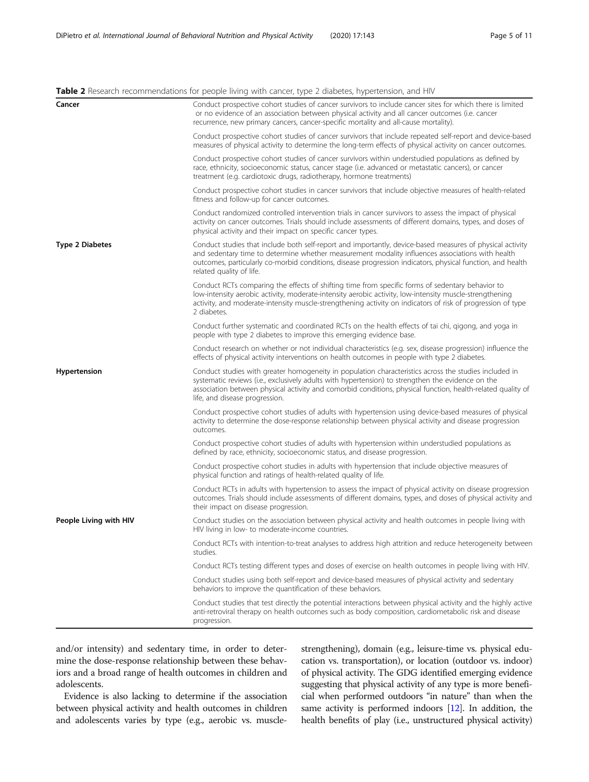# <span id="page-4-0"></span>Table 2 Research recommendations for people living with cancer, type 2 diabetes, hypertension, and HIV

| Cancer                 | Conduct prospective cohort studies of cancer survivors to include cancer sites for which there is limited<br>or no evidence of an association between physical activity and all cancer outcomes (i.e. cancer<br>recurrence, new primary cancers, cancer-specific mortality and all-cause mortality).                                                        |
|------------------------|-------------------------------------------------------------------------------------------------------------------------------------------------------------------------------------------------------------------------------------------------------------------------------------------------------------------------------------------------------------|
|                        | Conduct prospective cohort studies of cancer survivors that include repeated self-report and device-based<br>measures of physical activity to determine the long-term effects of physical activity on cancer outcomes.                                                                                                                                      |
|                        | Conduct prospective cohort studies of cancer survivors within understudied populations as defined by<br>race, ethnicity, socioeconomic status, cancer stage (i.e. advanced or metastatic cancers), or cancer<br>treatment (e.g. cardiotoxic drugs, radiotherapy, hormone treatments)                                                                        |
|                        | Conduct prospective cohort studies in cancer survivors that include objective measures of health-related<br>fitness and follow-up for cancer outcomes.                                                                                                                                                                                                      |
|                        | Conduct randomized controlled intervention trials in cancer survivors to assess the impact of physical<br>activity on cancer outcomes. Trials should include assessments of different domains, types, and doses of<br>physical activity and their impact on specific cancer types.                                                                          |
| <b>Type 2 Diabetes</b> | Conduct studies that include both self-report and importantly, device-based measures of physical activity<br>and sedentary time to determine whether measurement modality influences associations with health<br>outcomes, particularly co-morbid conditions, disease progression indicators, physical function, and health<br>related quality of life.     |
|                        | Conduct RCTs comparing the effects of shifting time from specific forms of sedentary behavior to<br>low-intensity aerobic activity, moderate-intensity aerobic activity, low-intensity muscle-strengthening<br>activity, and moderate-intensity muscle-strengthening activity on indicators of risk of progression of type<br>2 diabetes.                   |
|                        | Conduct further systematic and coordinated RCTs on the health effects of tai chi, gigong, and yoga in<br>people with type 2 diabetes to improve this emerging evidence base.                                                                                                                                                                                |
|                        | Conduct research on whether or not individual characteristics (e.g. sex, disease progression) influence the<br>effects of physical activity interventions on health outcomes in people with type 2 diabetes.                                                                                                                                                |
| Hypertension           | Conduct studies with greater homogeneity in population characteristics across the studies included in<br>systematic reviews (i.e., exclusively adults with hypertension) to strengthen the evidence on the<br>association between physical activity and comorbid conditions, physical function, health-related quality of<br>life, and disease progression. |
|                        | Conduct prospective cohort studies of adults with hypertension using device-based measures of physical<br>activity to determine the dose-response relationship between physical activity and disease progression<br>outcomes.                                                                                                                               |
|                        | Conduct prospective cohort studies of adults with hypertension within understudied populations as<br>defined by race, ethnicity, socioeconomic status, and disease progression.                                                                                                                                                                             |
|                        | Conduct prospective cohort studies in adults with hypertension that include objective measures of<br>physical function and ratings of health-related quality of life.                                                                                                                                                                                       |
|                        | Conduct RCTs in adults with hypertension to assess the impact of physical activity on disease progression<br>outcomes. Trials should include assessments of different domains, types, and doses of physical activity and<br>their impact on disease progression.                                                                                            |
| People Living with HIV | Conduct studies on the association between physical activity and health outcomes in people living with<br>HIV living in low- to moderate-income countries.                                                                                                                                                                                                  |
|                        | Conduct RCTs with intention-to-treat analyses to address high attrition and reduce heterogeneity between<br>studies.                                                                                                                                                                                                                                        |
|                        | Conduct RCTs testing different types and doses of exercise on health outcomes in people living with HIV.                                                                                                                                                                                                                                                    |
|                        | Conduct studies using both self-report and device-based measures of physical activity and sedentary<br>behaviors to improve the quantification of these behaviors.                                                                                                                                                                                          |
|                        | Conduct studies that test directly the potential interactions between physical activity and the highly active<br>anti-retroviral therapy on health outcomes such as body composition, cardiometabolic risk and disease<br>progression.                                                                                                                      |

and/or intensity) and sedentary time, in order to determine the dose-response relationship between these behaviors and a broad range of health outcomes in children and adolescents.

Evidence is also lacking to determine if the association between physical activity and health outcomes in children and adolescents varies by type (e.g., aerobic vs. musclestrengthening), domain (e.g., leisure-time vs. physical education vs. transportation), or location (outdoor vs. indoor) of physical activity. The GDG identified emerging evidence suggesting that physical activity of any type is more beneficial when performed outdoors "in nature" than when the same activity is performed indoors [\[12\]](#page-10-0). In addition, the health benefits of play (i.e., unstructured physical activity)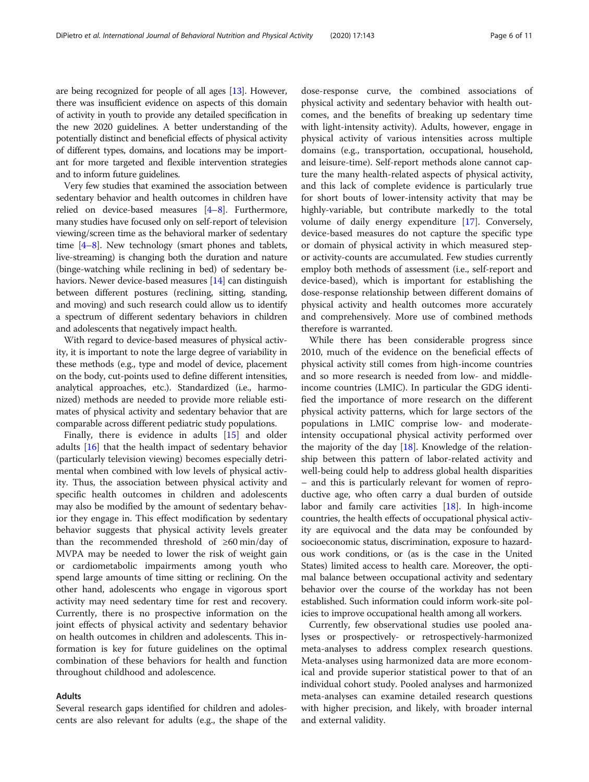are being recognized for people of all ages [[13](#page-10-0)]. However, there was insufficient evidence on aspects of this domain of activity in youth to provide any detailed specification in the new 2020 guidelines. A better understanding of the potentially distinct and beneficial effects of physical activity of different types, domains, and locations may be important for more targeted and flexible intervention strategies and to inform future guidelines.

Very few studies that examined the association between sedentary behavior and health outcomes in children have relied on device-based measures [\[4](#page-9-0)–[8\]](#page-10-0). Furthermore, many studies have focused only on self-report of television viewing/screen time as the behavioral marker of sedentary time [\[4](#page-9-0)–[8\]](#page-10-0). New technology (smart phones and tablets, live-streaming) is changing both the duration and nature (binge-watching while reclining in bed) of sedentary behaviors. Newer device-based measures [\[14\]](#page-10-0) can distinguish between different postures (reclining, sitting, standing, and moving) and such research could allow us to identify a spectrum of different sedentary behaviors in children and adolescents that negatively impact health.

With regard to device-based measures of physical activity, it is important to note the large degree of variability in these methods (e.g., type and model of device, placement on the body, cut-points used to define different intensities, analytical approaches, etc.). Standardized (i.e., harmonized) methods are needed to provide more reliable estimates of physical activity and sedentary behavior that are comparable across different pediatric study populations.

Finally, there is evidence in adults [\[15](#page-10-0)] and older adults [[16\]](#page-10-0) that the health impact of sedentary behavior (particularly television viewing) becomes especially detrimental when combined with low levels of physical activity. Thus, the association between physical activity and specific health outcomes in children and adolescents may also be modified by the amount of sedentary behavior they engage in. This effect modification by sedentary behavior suggests that physical activity levels greater than the recommended threshold of ≥60 min/day of MVPA may be needed to lower the risk of weight gain or cardiometabolic impairments among youth who spend large amounts of time sitting or reclining. On the other hand, adolescents who engage in vigorous sport activity may need sedentary time for rest and recovery. Currently, there is no prospective information on the joint effects of physical activity and sedentary behavior on health outcomes in children and adolescents. This information is key for future guidelines on the optimal combination of these behaviors for health and function throughout childhood and adolescence.

# Adults

Several research gaps identified for children and adolescents are also relevant for adults (e.g., the shape of the

dose-response curve, the combined associations of physical activity and sedentary behavior with health outcomes, and the benefits of breaking up sedentary time with light-intensity activity). Adults, however, engage in physical activity of various intensities across multiple domains (e.g., transportation, occupational, household, and leisure-time). Self-report methods alone cannot capture the many health-related aspects of physical activity, and this lack of complete evidence is particularly true for short bouts of lower-intensity activity that may be highly-variable, but contribute markedly to the total volume of daily energy expenditure [\[17](#page-10-0)]. Conversely, device-based measures do not capture the specific type or domain of physical activity in which measured stepor activity-counts are accumulated. Few studies currently employ both methods of assessment (i.e., self-report and device-based), which is important for establishing the dose-response relationship between different domains of physical activity and health outcomes more accurately and comprehensively. More use of combined methods therefore is warranted.

While there has been considerable progress since 2010, much of the evidence on the beneficial effects of physical activity still comes from high-income countries and so more research is needed from low- and middleincome countries (LMIC). In particular the GDG identified the importance of more research on the different physical activity patterns, which for large sectors of the populations in LMIC comprise low- and moderateintensity occupational physical activity performed over the majority of the day [[18\]](#page-10-0). Knowledge of the relationship between this pattern of labor-related activity and well-being could help to address global health disparities – and this is particularly relevant for women of reproductive age, who often carry a dual burden of outside labor and family care activities [\[18\]](#page-10-0). In high-income countries, the health effects of occupational physical activity are equivocal and the data may be confounded by socioeconomic status, discrimination, exposure to hazardous work conditions, or (as is the case in the United States) limited access to health care. Moreover, the optimal balance between occupational activity and sedentary behavior over the course of the workday has not been established. Such information could inform work-site policies to improve occupational health among all workers.

Currently, few observational studies use pooled analyses or prospectively- or retrospectively-harmonized meta-analyses to address complex research questions. Meta-analyses using harmonized data are more economical and provide superior statistical power to that of an individual cohort study. Pooled analyses and harmonized meta-analyses can examine detailed research questions with higher precision, and likely, with broader internal and external validity.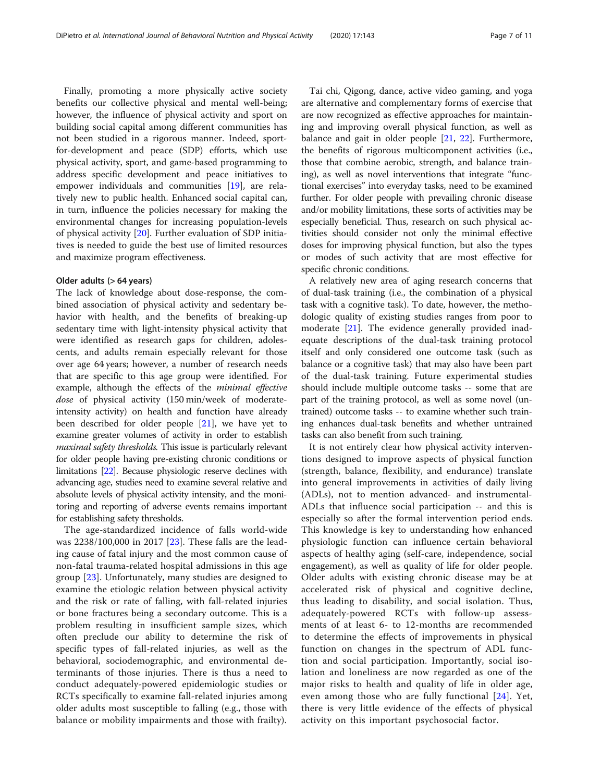Finally, promoting a more physically active society benefits our collective physical and mental well-being; however, the influence of physical activity and sport on building social capital among different communities has not been studied in a rigorous manner. Indeed, sportfor-development and peace (SDP) efforts, which use physical activity, sport, and game-based programming to address specific development and peace initiatives to empower individuals and communities [[19\]](#page-10-0), are relatively new to public health. Enhanced social capital can, in turn, influence the policies necessary for making the environmental changes for increasing population-levels of physical activity [\[20](#page-10-0)]. Further evaluation of SDP initiatives is needed to guide the best use of limited resources and maximize program effectiveness.

## Older adults (> 64 years)

The lack of knowledge about dose-response, the combined association of physical activity and sedentary behavior with health, and the benefits of breaking-up sedentary time with light-intensity physical activity that were identified as research gaps for children, adolescents, and adults remain especially relevant for those over age 64 years; however, a number of research needs that are specific to this age group were identified. For example, although the effects of the minimal effective dose of physical activity (150 min/week of moderateintensity activity) on health and function have already been described for older people [\[21\]](#page-10-0), we have yet to examine greater volumes of activity in order to establish maximal safety thresholds. This issue is particularly relevant for older people having pre-existing chronic conditions or limitations [\[22\]](#page-10-0). Because physiologic reserve declines with advancing age, studies need to examine several relative and absolute levels of physical activity intensity, and the monitoring and reporting of adverse events remains important for establishing safety thresholds.

The age-standardized incidence of falls world-wide was 2238/100,000 in 2017 [[23\]](#page-10-0). These falls are the leading cause of fatal injury and the most common cause of non-fatal trauma-related hospital admissions in this age group [\[23](#page-10-0)]. Unfortunately, many studies are designed to examine the etiologic relation between physical activity and the risk or rate of falling, with fall-related injuries or bone fractures being a secondary outcome. This is a problem resulting in insufficient sample sizes, which often preclude our ability to determine the risk of specific types of fall-related injuries, as well as the behavioral, sociodemographic, and environmental determinants of those injuries. There is thus a need to conduct adequately-powered epidemiologic studies or RCTs specifically to examine fall-related injuries among older adults most susceptible to falling (e.g., those with balance or mobility impairments and those with frailty).

Tai chi, Qigong, dance, active video gaming, and yoga are alternative and complementary forms of exercise that are now recognized as effective approaches for maintaining and improving overall physical function, as well as balance and gait in older people [[21,](#page-10-0) [22\]](#page-10-0). Furthermore, the benefits of rigorous multicomponent activities (i.e., those that combine aerobic, strength, and balance training), as well as novel interventions that integrate "functional exercises" into everyday tasks, need to be examined further. For older people with prevailing chronic disease and/or mobility limitations, these sorts of activities may be especially beneficial. Thus, research on such physical activities should consider not only the minimal effective doses for improving physical function, but also the types or modes of such activity that are most effective for specific chronic conditions.

A relatively new area of aging research concerns that of dual-task training (i.e., the combination of a physical task with a cognitive task). To date, however, the methodologic quality of existing studies ranges from poor to moderate [[21\]](#page-10-0). The evidence generally provided inadequate descriptions of the dual-task training protocol itself and only considered one outcome task (such as balance or a cognitive task) that may also have been part of the dual-task training. Future experimental studies should include multiple outcome tasks -- some that are part of the training protocol, as well as some novel (untrained) outcome tasks -- to examine whether such training enhances dual-task benefits and whether untrained tasks can also benefit from such training.

It is not entirely clear how physical activity interventions designed to improve aspects of physical function (strength, balance, flexibility, and endurance) translate into general improvements in activities of daily living (ADLs), not to mention advanced- and instrumental-ADLs that influence social participation -- and this is especially so after the formal intervention period ends. This knowledge is key to understanding how enhanced physiologic function can influence certain behavioral aspects of healthy aging (self-care, independence, social engagement), as well as quality of life for older people. Older adults with existing chronic disease may be at accelerated risk of physical and cognitive decline, thus leading to disability, and social isolation. Thus, adequately-powered RCTs with follow-up assessments of at least 6- to 12-months are recommended to determine the effects of improvements in physical function on changes in the spectrum of ADL function and social participation. Importantly, social isolation and loneliness are now regarded as one of the major risks to health and quality of life in older age, even among those who are fully functional [[24](#page-10-0)]. Yet, there is very little evidence of the effects of physical activity on this important psychosocial factor.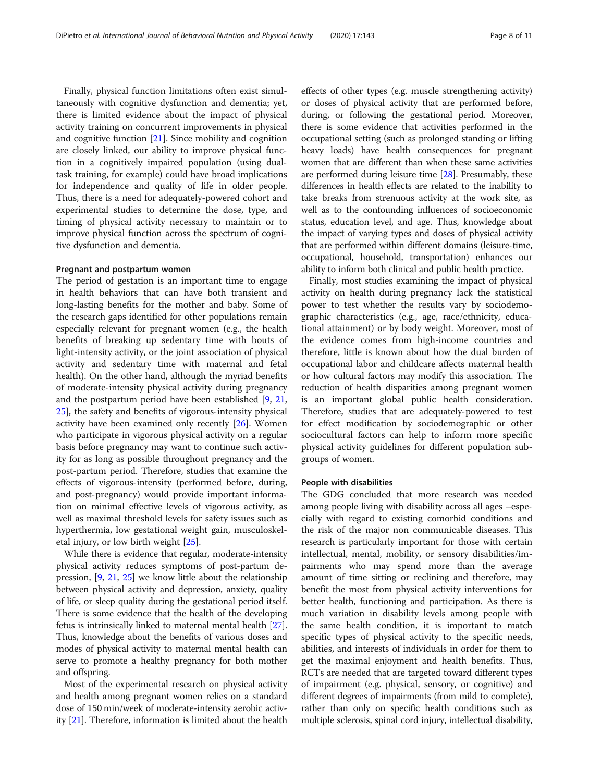Finally, physical function limitations often exist simultaneously with cognitive dysfunction and dementia; yet, there is limited evidence about the impact of physical activity training on concurrent improvements in physical and cognitive function [[21\]](#page-10-0). Since mobility and cognition are closely linked, our ability to improve physical function in a cognitively impaired population (using dualtask training, for example) could have broad implications for independence and quality of life in older people. Thus, there is a need for adequately-powered cohort and experimental studies to determine the dose, type, and timing of physical activity necessary to maintain or to improve physical function across the spectrum of cognitive dysfunction and dementia.

## Pregnant and postpartum women

The period of gestation is an important time to engage in health behaviors that can have both transient and long-lasting benefits for the mother and baby. Some of the research gaps identified for other populations remain especially relevant for pregnant women (e.g., the health benefits of breaking up sedentary time with bouts of light-intensity activity, or the joint association of physical activity and sedentary time with maternal and fetal health). On the other hand, although the myriad benefits of moderate-intensity physical activity during pregnancy and the postpartum period have been established [\[9,](#page-10-0) [21](#page-10-0), [25\]](#page-10-0), the safety and benefits of vigorous-intensity physical activity have been examined only recently [[26](#page-10-0)]. Women who participate in vigorous physical activity on a regular basis before pregnancy may want to continue such activity for as long as possible throughout pregnancy and the post-partum period. Therefore, studies that examine the effects of vigorous-intensity (performed before, during, and post-pregnancy) would provide important information on minimal effective levels of vigorous activity, as well as maximal threshold levels for safety issues such as hyperthermia, low gestational weight gain, musculoskeletal injury, or low birth weight [\[25\]](#page-10-0).

While there is evidence that regular, moderate-intensity physical activity reduces symptoms of post-partum depression, [\[9](#page-10-0), [21](#page-10-0), [25\]](#page-10-0) we know little about the relationship between physical activity and depression, anxiety, quality of life, or sleep quality during the gestational period itself. There is some evidence that the health of the developing fetus is intrinsically linked to maternal mental health [[27](#page-10-0)]. Thus, knowledge about the benefits of various doses and modes of physical activity to maternal mental health can serve to promote a healthy pregnancy for both mother and offspring.

Most of the experimental research on physical activity and health among pregnant women relies on a standard dose of 150 min/week of moderate-intensity aerobic activity [[21](#page-10-0)]. Therefore, information is limited about the health

effects of other types (e.g. muscle strengthening activity) or doses of physical activity that are performed before, during, or following the gestational period. Moreover, there is some evidence that activities performed in the occupational setting (such as prolonged standing or lifting heavy loads) have health consequences for pregnant women that are different than when these same activities are performed during leisure time [\[28\]](#page-10-0). Presumably, these differences in health effects are related to the inability to take breaks from strenuous activity at the work site, as well as to the confounding influences of socioeconomic status, education level, and age. Thus, knowledge about the impact of varying types and doses of physical activity that are performed within different domains (leisure-time, occupational, household, transportation) enhances our ability to inform both clinical and public health practice.

Finally, most studies examining the impact of physical activity on health during pregnancy lack the statistical power to test whether the results vary by sociodemographic characteristics (e.g., age, race/ethnicity, educational attainment) or by body weight. Moreover, most of the evidence comes from high-income countries and therefore, little is known about how the dual burden of occupational labor and childcare affects maternal health or how cultural factors may modify this association. The reduction of health disparities among pregnant women is an important global public health consideration. Therefore, studies that are adequately-powered to test for effect modification by sociodemographic or other sociocultural factors can help to inform more specific physical activity guidelines for different population subgroups of women.

## People with disabilities

The GDG concluded that more research was needed among people living with disability across all ages –especially with regard to existing comorbid conditions and the risk of the major non communicable diseases. This research is particularly important for those with certain intellectual, mental, mobility, or sensory disabilities/impairments who may spend more than the average amount of time sitting or reclining and therefore, may benefit the most from physical activity interventions for better health, functioning and participation. As there is much variation in disability levels among people with the same health condition, it is important to match specific types of physical activity to the specific needs, abilities, and interests of individuals in order for them to get the maximal enjoyment and health benefits. Thus, RCTs are needed that are targeted toward different types of impairment (e.g. physical, sensory, or cognitive) and different degrees of impairments (from mild to complete), rather than only on specific health conditions such as multiple sclerosis, spinal cord injury, intellectual disability,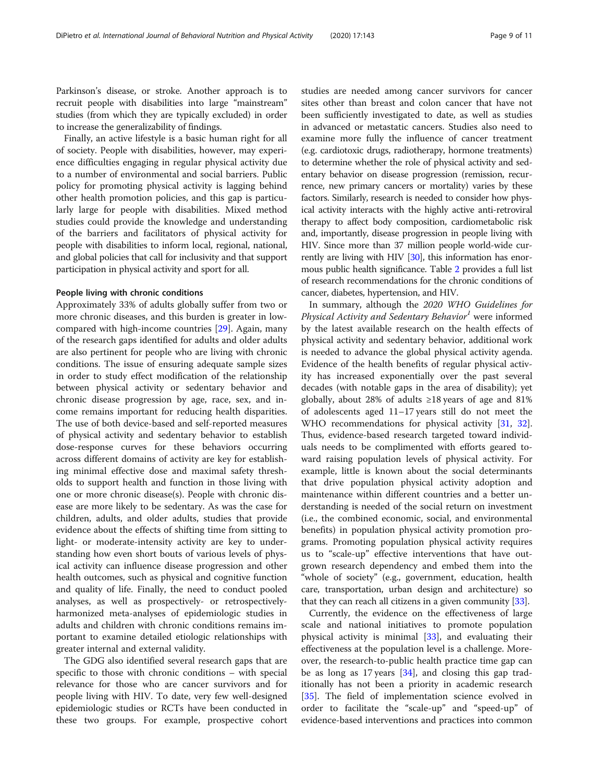Parkinson's disease, or stroke. Another approach is to recruit people with disabilities into large "mainstream" studies (from which they are typically excluded) in order to increase the generalizability of findings.

Finally, an active lifestyle is a basic human right for all of society. People with disabilities, however, may experience difficulties engaging in regular physical activity due to a number of environmental and social barriers. Public policy for promoting physical activity is lagging behind other health promotion policies, and this gap is particularly large for people with disabilities. Mixed method studies could provide the knowledge and understanding of the barriers and facilitators of physical activity for people with disabilities to inform local, regional, national, and global policies that call for inclusivity and that support participation in physical activity and sport for all.

## People living with chronic conditions

Approximately 33% of adults globally suffer from two or more chronic diseases, and this burden is greater in lowcompared with high-income countries [\[29](#page-10-0)]. Again, many of the research gaps identified for adults and older adults are also pertinent for people who are living with chronic conditions. The issue of ensuring adequate sample sizes in order to study effect modification of the relationship between physical activity or sedentary behavior and chronic disease progression by age, race, sex, and income remains important for reducing health disparities. The use of both device-based and self-reported measures of physical activity and sedentary behavior to establish dose-response curves for these behaviors occurring across different domains of activity are key for establishing minimal effective dose and maximal safety thresholds to support health and function in those living with one or more chronic disease(s). People with chronic disease are more likely to be sedentary. As was the case for children, adults, and older adults, studies that provide evidence about the effects of shifting time from sitting to light- or moderate-intensity activity are key to understanding how even short bouts of various levels of physical activity can influence disease progression and other health outcomes, such as physical and cognitive function and quality of life. Finally, the need to conduct pooled analyses, as well as prospectively- or retrospectivelyharmonized meta-analyses of epidemiologic studies in adults and children with chronic conditions remains important to examine detailed etiologic relationships with greater internal and external validity.

The GDG also identified several research gaps that are specific to those with chronic conditions – with special relevance for those who are cancer survivors and for people living with HIV. To date, very few well-designed epidemiologic studies or RCTs have been conducted in these two groups. For example, prospective cohort studies are needed among cancer survivors for cancer sites other than breast and colon cancer that have not been sufficiently investigated to date, as well as studies in advanced or metastatic cancers. Studies also need to examine more fully the influence of cancer treatment (e.g. cardiotoxic drugs, radiotherapy, hormone treatments) to determine whether the role of physical activity and sedentary behavior on disease progression (remission, recurrence, new primary cancers or mortality) varies by these factors. Similarly, research is needed to consider how physical activity interacts with the highly active anti-retroviral therapy to affect body composition, cardiometabolic risk and, importantly, disease progression in people living with HIV. Since more than 37 million people world-wide cur-rently are living with HIV [\[30\]](#page-10-0), this information has enormous public health significance. Table [2](#page-4-0) provides a full list of research recommendations for the chronic conditions of cancer, diabetes, hypertension, and HIV.

In summary, although the 2020 WHO Guidelines for Physical Activity and Sedentary Behavior<sup>1</sup> were informed by the latest available research on the health effects of physical activity and sedentary behavior, additional work is needed to advance the global physical activity agenda. Evidence of the health benefits of regular physical activity has increased exponentially over the past several decades (with notable gaps in the area of disability); yet globally, about 28% of adults  $\geq$ 18 years of age and 81% of adolescents aged 11–17 years still do not meet the WHO recommendations for physical activity [\[31](#page-10-0), [32](#page-10-0)]. Thus, evidence-based research targeted toward individuals needs to be complimented with efforts geared toward raising population levels of physical activity. For example, little is known about the social determinants that drive population physical activity adoption and maintenance within different countries and a better understanding is needed of the social return on investment (i.e., the combined economic, social, and environmental benefits) in population physical activity promotion programs. Promoting population physical activity requires us to "scale-up" effective interventions that have outgrown research dependency and embed them into the "whole of society" (e.g., government, education, health care, transportation, urban design and architecture) so that they can reach all citizens in a given community  $[33]$  $[33]$  $[33]$ .

Currently, the evidence on the effectiveness of large scale and national initiatives to promote population physical activity is minimal [[33](#page-10-0)], and evaluating their effectiveness at the population level is a challenge. Moreover, the research-to-public health practice time gap can be as long as 17 years [\[34](#page-10-0)], and closing this gap traditionally has not been a priority in academic research [[35\]](#page-10-0). The field of implementation science evolved in order to facilitate the "scale-up" and "speed-up" of evidence-based interventions and practices into common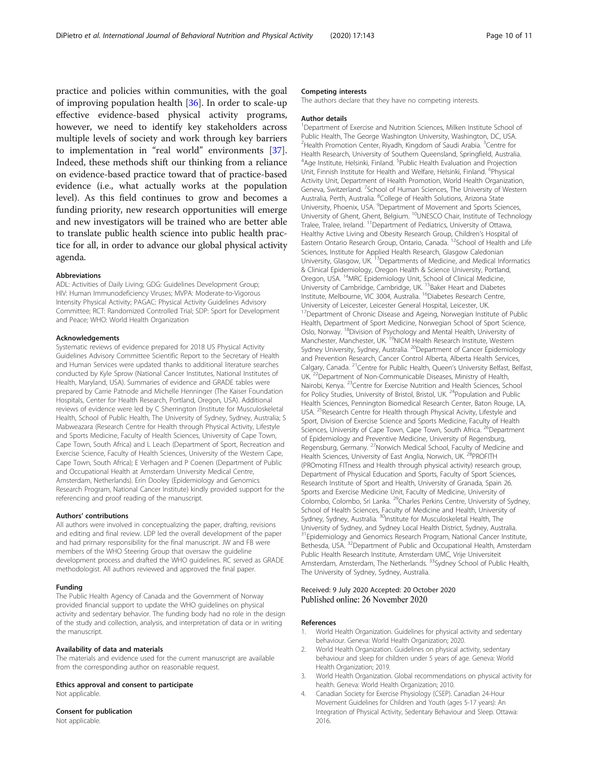<span id="page-9-0"></span>practice and policies within communities, with the goal of improving population health [[36\]](#page-10-0). In order to scale-up effective evidence-based physical activity programs, however, we need to identify key stakeholders across multiple levels of society and work through key barriers to implementation in "real world" environments [\[37](#page-10-0)]. Indeed, these methods shift our thinking from a reliance on evidence-based practice toward that of practice-based evidence (i.e., what actually works at the population level). As this field continues to grow and becomes a funding priority, new research opportunities will emerge and new investigators will be trained who are better able to translate public health science into public health practice for all, in order to advance our global physical activity agenda.

#### Abbreviations

ADL: Activities of Daily Living; GDG: Guidelines Development Group; HIV: Human Immunodeficiency Viruses; MVPA: Moderate-to-Vigorous Intensity Physical Activity; PAGAC: Physical Activity Guidelines Advisory Committee; RCT: Randomized Controlled Trial; SDP: Sport for Development and Peace; WHO: World Health Organization

#### Acknowledgements

Systematic reviews of evidence prepared for 2018 US Physical Activity Guidelines Advisory Committee Scientific Report to the Secretary of Health and Human Services were updated thanks to additional literature searches conducted by Kyle Sprow (National Cancer Institutes, National Institutes of Health, Maryland, USA). Summaries of evidence and GRADE tables were prepared by Carrie Patnode and Michelle Henninger (The Kaiser Foundation Hospitals, Center for Health Research, Portland, Oregon, USA). Additional reviews of evidence were led by C Sherrington (Institute for Musculoskeletal Health, School of Public Health, The University of Sydney, Sydney, Australia; S Mabweazara (Research Centre for Health through Physical Activity, Lifestyle and Sports Medicine, Faculty of Health Sciences, University of Cape Town, Cape Town, South Africa) and L Leach (Department of Sport, Recreation and Exercise Science, Faculty of Health Sciences, University of the Western Cape, Cape Town, South Africa); E Verhagen and P Coenen (Department of Public and Occupational Health at Amsterdam University Medical Centre, Amsterdam, Netherlands). Erin Dooley (Epidemiology and Genomics Research Program, National Cancer Institute) kindly provided support for the referencing and proof reading of the manuscript.

#### Authors' contributions

All authors were involved in conceptualizing the paper, drafting, revisions and editing and final review. LDP led the overall development of the paper and had primary responsibility for the final manuscript. JW and FB were members of the WHO Steering Group that oversaw the guideline development process and drafted the WHO guidelines. RC served as GRADE methodologist. All authors reviewed and approved the final paper.

#### Funding

The Public Health Agency of Canada and the Government of Norway provided financial support to update the WHO guidelines on physical activity and sedentary behavior. The funding body had no role in the design of the study and collection, analysis, and interpretation of data or in writing the manuscript.

#### Availability of data and materials

The materials and evidence used for the current manuscript are available from the corresponding author on reasonable request.

Ethics approval and consent to participate Not applicable.

# Consent for publication

Not applicable.

#### Competing interests

The authors declare that they have no competing interests.

#### Author details

<sup>1</sup>Department of Exercise and Nutrition Sciences, Milken Institute School of Public Health, The George Washington University, Washington, DC, USA. <sup>2</sup>Health Promotion Center, Riyadh, Kingdom of Saudi Arabia. <sup>3</sup>Centre for Health Research, University of Southern Queensland, Springfield, Australia. <sup>4</sup>Age Institute, Helsinki, Finland. <sup>5</sup>Public Health Evaluation and Projection Unit, Finnish Institute for Health and Welfare, Helsinki, Finland. <sup>6</sup>Physical Activity Unit, Department of Health Promotion, World Health Organization, Geneva, Switzerland. <sup>7</sup>School of Human Sciences, The University of Western Australia, Perth, Australia. <sup>8</sup>College of Health Solutions, Arizona State University, Phoenix, USA. <sup>9</sup>Department of Movement and Sports Sciences, University of Ghent, Ghent, Belgium. <sup>10</sup>UNESCO Chair, Institute of Technology Tralee, Tralee, Ireland. <sup>11</sup>Department of Pediatrics, University of Ottawa, Healthy Active Living and Obesity Research Group, Children's Hospital of Eastern Ontario Research Group, Ontario, Canada. 12School of Health and Life Sciences, Institute for Applied Health Research, Glasgow Caledonian University, Glasgow, UK. <sup>13</sup>Departments of Medicine, and Medical Informatics & Clinical Epidemiology, Oregon Health & Science University, Portland, Oregon, USA. 14MRC Epidemiology Unit, School of Clinical Medicine, University of Cambridge, Cambridge, UK.<sup>15</sup>Baker Heart and Diabetes Institute, Melbourne, VIC 3004, Australia. <sup>16</sup>Diabetes Research Centre, University of Leicester, Leicester General Hospital, Leicester, UK. <sup>17</sup>Department of Chronic Disease and Ageing, Norwegian Institute of Public Health, Department of Sport Medicine, Norwegian School of Sport Science, Oslo, Norway. 18Division of Psychology and Mental Health, University of Manchester, Manchester, UK. <sup>19</sup>NICM Health Research Institute, Western Sydney University, Sydney, Australia. <sup>20</sup>Department of Cancer Epidemiology and Prevention Research, Cancer Control Alberta, Alberta Health Services, Calgary, Canada. <sup>21</sup> Centre for Public Health, Queen's University Belfast, Belfast, UK. <sup>22</sup>Department of Non-Communicable Diseases, Ministry of Health, Nairobi, Kenya. <sup>23</sup> Centre for Exercise Nutrition and Health Sciences, School for Policy Studies, University of Bristol, Bristol, UK.<sup>24</sup>Population and Public Health Sciences, Pennington Biomedical Research Center, Baton Rouge, LA, USA. <sup>25</sup>Research Centre for Health through Physical Acivity, Lifestyle and Sport, Division of Exercise Science and Sports Medicine, Faculty of Health Sciences, University of Cape Town, Cape Town, South Africa. <sup>26</sup>Department of Epidemiology and Preventive Medicine, University of Regensburg, Regensburg, Germany. 27Norwich Medical School, Faculty of Medicine and Health Sciences, University of East Anglia, Norwich, UK.<sup>28</sup>PROFITH (PROmoting FITness and Health through physical activity) research group, Department of Physical Education and Sports, Faculty of Sport Sciences, Research Institute of Sport and Health, University of Granada, Spain 26. Sports and Exercise Medicine Unit, Faculty of Medicine, University of Colombo, Colombo, Sri Lanka. 29Charles Perkins Centre, University of Sydney, School of Health Sciences, Faculty of Medicine and Health, University of Sydney, Sydney, Australia. <sup>30</sup>Institute for Musculoskeletal Health, The University of Sydney, and Sydney Local Health District, Sydney, Australia. <sup>31</sup>Epidemiology and Genomics Research Program, National Cancer Institute, Bethesda, USA. 32Department of Public and Occupational Health, Amsterdam Public Health Research Institute, Amsterdam UMC, Vrije Universiteit Amsterdam, Amsterdam, The Netherlands. <sup>33</sup>Sydney School of Public Health, The University of Sydney, Sydney, Australia.

#### Received: 9 July 2020 Accepted: 20 October 2020 Published online: 26 November 2020

#### References

- 1. World Health Organization. Guidelines for physical activity and sedentary behaviour. Geneva: World Health Organization; 2020.
- 2. World Health Organization. Guidelines on physical activity, sedentary behaviour and sleep for children under 5 years of age. Geneva: World Health Organization; 2019.
- 3. World Health Organization. Global recommendations on physical activity for health. Geneva: World Health Organization; 2010.
- 4. Canadian Society for Exercise Physiology (CSEP). Canadian 24-Hour Movement Guidelines for Children and Youth (ages 5-17 years): An Integration of Physical Activity, Sedentary Behaviour and Sleep. Ottawa: 2016.